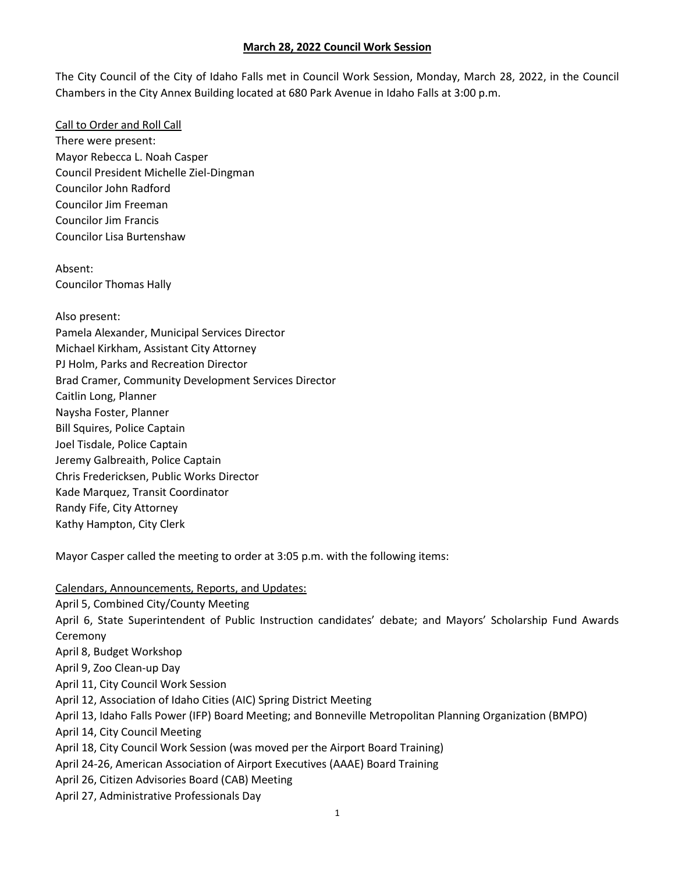The City Council of the City of Idaho Falls met in Council Work Session, Monday, March 28, 2022, in the Council Chambers in the City Annex Building located at 680 Park Avenue in Idaho Falls at 3:00 p.m.

Call to Order and Roll Call There were present: Mayor Rebecca L. Noah Casper Council President Michelle Ziel-Dingman Councilor John Radford Councilor Jim Freeman Councilor Jim Francis Councilor Lisa Burtenshaw

Absent: Councilor Thomas Hally

Also present: Pamela Alexander, Municipal Services Director Michael Kirkham, Assistant City Attorney PJ Holm, Parks and Recreation Director Brad Cramer, Community Development Services Director Caitlin Long, Planner Naysha Foster, Planner Bill Squires, Police Captain Joel Tisdale, Police Captain Jeremy Galbreaith, Police Captain Chris Fredericksen, Public Works Director Kade Marquez, Transit Coordinator Randy Fife, City Attorney Kathy Hampton, City Clerk

Mayor Casper called the meeting to order at 3:05 p.m. with the following items:

Calendars, Announcements, Reports, and Updates: April 5, Combined City/County Meeting April 6, State Superintendent of Public Instruction candidates' debate; and Mayors' Scholarship Fund Awards Ceremony April 8, Budget Workshop April 9, Zoo Clean-up Day April 11, City Council Work Session April 12, Association of Idaho Cities (AIC) Spring District Meeting April 13, Idaho Falls Power (IFP) Board Meeting; and Bonneville Metropolitan Planning Organization (BMPO) April 14, City Council Meeting April 18, City Council Work Session (was moved per the Airport Board Training) April 24-26, American Association of Airport Executives (AAAE) Board Training April 26, Citizen Advisories Board (CAB) Meeting April 27, Administrative Professionals Day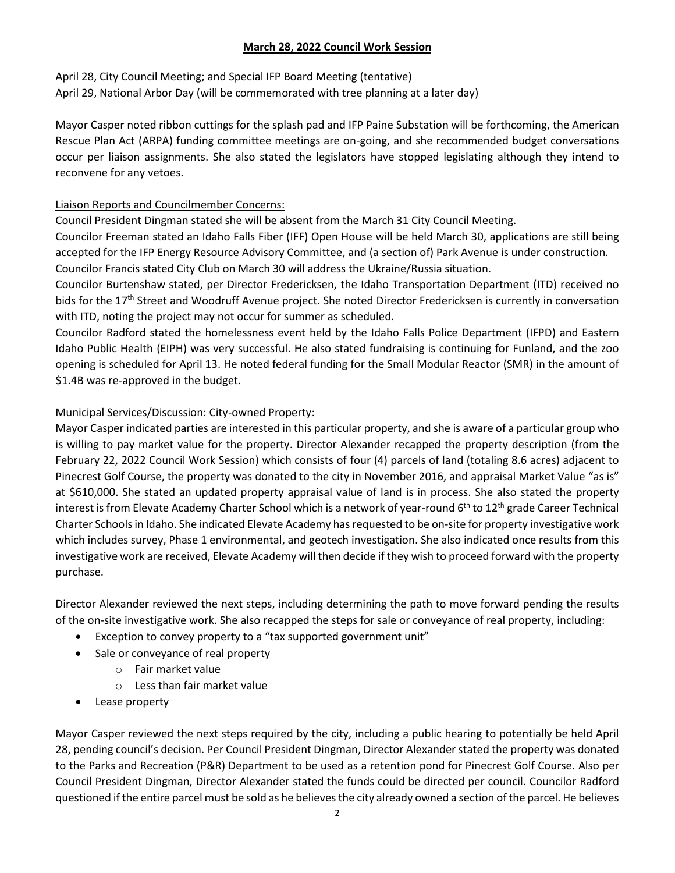April 28, City Council Meeting; and Special IFP Board Meeting (tentative) April 29, National Arbor Day (will be commemorated with tree planning at a later day)

Mayor Casper noted ribbon cuttings for the splash pad and IFP Paine Substation will be forthcoming, the American Rescue Plan Act (ARPA) funding committee meetings are on-going, and she recommended budget conversations occur per liaison assignments. She also stated the legislators have stopped legislating although they intend to reconvene for any vetoes.

### Liaison Reports and Councilmember Concerns:

Council President Dingman stated she will be absent from the March 31 City Council Meeting.

Councilor Freeman stated an Idaho Falls Fiber (IFF) Open House will be held March 30, applications are still being accepted for the IFP Energy Resource Advisory Committee, and (a section of) Park Avenue is under construction. Councilor Francis stated City Club on March 30 will address the Ukraine/Russia situation.

Councilor Burtenshaw stated, per Director Fredericksen, the Idaho Transportation Department (ITD) received no bids for the 17<sup>th</sup> Street and Woodruff Avenue project. She noted Director Fredericksen is currently in conversation with ITD, noting the project may not occur for summer as scheduled.

Councilor Radford stated the homelessness event held by the Idaho Falls Police Department (IFPD) and Eastern Idaho Public Health (EIPH) was very successful. He also stated fundraising is continuing for Funland, and the zoo opening is scheduled for April 13. He noted federal funding for the Small Modular Reactor (SMR) in the amount of \$1.4B was re-approved in the budget.

# Municipal Services/Discussion: City-owned Property:

Mayor Casper indicated parties are interested in this particular property, and she is aware of a particular group who is willing to pay market value for the property. Director Alexander recapped the property description (from the February 22, 2022 Council Work Session) which consists of four (4) parcels of land (totaling 8.6 acres) adjacent to Pinecrest Golf Course, the property was donated to the city in November 2016, and appraisal Market Value "as is" at \$610,000. She stated an updated property appraisal value of land is in process. She also stated the property interest is from Elevate Academy Charter School which is a network of year-round  $6<sup>th</sup>$  to 12<sup>th</sup> grade Career Technical Charter Schools in Idaho. She indicated Elevate Academy has requested to be on-site for property investigative work which includes survey, Phase 1 environmental, and geotech investigation. She also indicated once results from this investigative work are received, Elevate Academy will then decide if they wish to proceed forward with the property purchase.

Director Alexander reviewed the next steps, including determining the path to move forward pending the results of the on-site investigative work. She also recapped the steps for sale or conveyance of real property, including:

- Exception to convey property to a "tax supported government unit"
- Sale or conveyance of real property
	- o Fair market value
	- o Less than fair market value
- Lease property

Mayor Casper reviewed the next steps required by the city, including a public hearing to potentially be held April 28, pending council's decision. Per Council President Dingman, Director Alexanderstated the property was donated to the Parks and Recreation (P&R) Department to be used as a retention pond for Pinecrest Golf Course. Also per Council President Dingman, Director Alexander stated the funds could be directed per council. Councilor Radford questioned if the entire parcel must be sold as he believes the city already owned a section of the parcel. He believes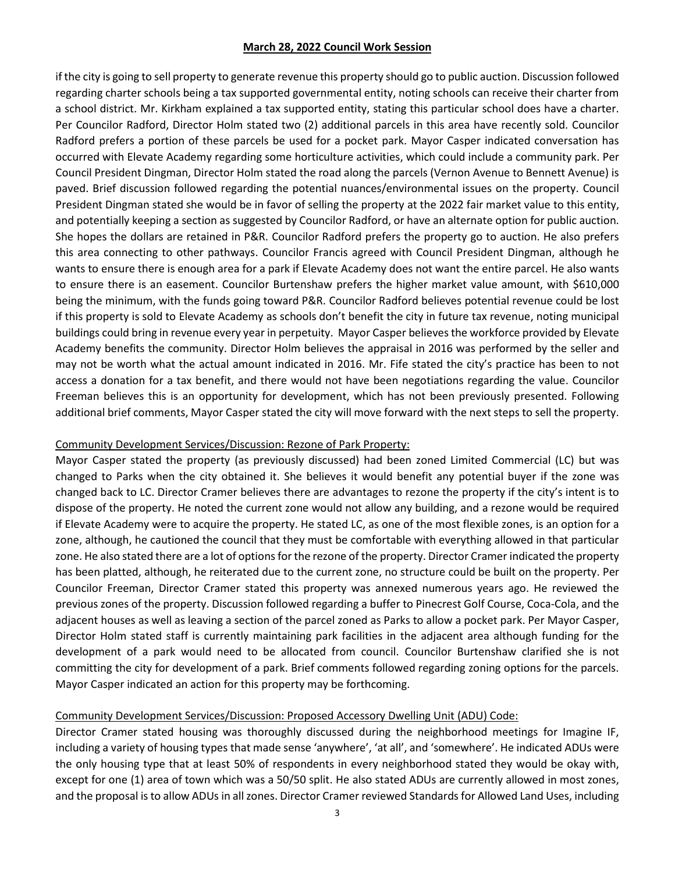if the city is going to sell property to generate revenue this property should go to public auction. Discussion followed regarding charter schools being a tax supported governmental entity, noting schools can receive their charter from a school district. Mr. Kirkham explained a tax supported entity, stating this particular school does have a charter. Per Councilor Radford, Director Holm stated two (2) additional parcels in this area have recently sold. Councilor Radford prefers a portion of these parcels be used for a pocket park. Mayor Casper indicated conversation has occurred with Elevate Academy regarding some horticulture activities, which could include a community park. Per Council President Dingman, Director Holm stated the road along the parcels (Vernon Avenue to Bennett Avenue) is paved. Brief discussion followed regarding the potential nuances/environmental issues on the property. Council President Dingman stated she would be in favor of selling the property at the 2022 fair market value to this entity, and potentially keeping a section as suggested by Councilor Radford, or have an alternate option for public auction. She hopes the dollars are retained in P&R. Councilor Radford prefers the property go to auction. He also prefers this area connecting to other pathways. Councilor Francis agreed with Council President Dingman, although he wants to ensure there is enough area for a park if Elevate Academy does not want the entire parcel. He also wants to ensure there is an easement. Councilor Burtenshaw prefers the higher market value amount, with \$610,000 being the minimum, with the funds going toward P&R. Councilor Radford believes potential revenue could be lost if this property is sold to Elevate Academy as schools don't benefit the city in future tax revenue, noting municipal buildings could bring in revenue every year in perpetuity. Mayor Casper believes the workforce provided by Elevate Academy benefits the community. Director Holm believes the appraisal in 2016 was performed by the seller and may not be worth what the actual amount indicated in 2016. Mr. Fife stated the city's practice has been to not access a donation for a tax benefit, and there would not have been negotiations regarding the value. Councilor Freeman believes this is an opportunity for development, which has not been previously presented. Following additional brief comments, Mayor Casper stated the city will move forward with the next steps to sell the property.

### Community Development Services/Discussion: Rezone of Park Property:

Mayor Casper stated the property (as previously discussed) had been zoned Limited Commercial (LC) but was changed to Parks when the city obtained it. She believes it would benefit any potential buyer if the zone was changed back to LC. Director Cramer believes there are advantages to rezone the property if the city's intent is to dispose of the property. He noted the current zone would not allow any building, and a rezone would be required if Elevate Academy were to acquire the property. He stated LC, as one of the most flexible zones, is an option for a zone, although, he cautioned the council that they must be comfortable with everything allowed in that particular zone. He also stated there are a lot of options for the rezone of the property. Director Cramer indicated the property has been platted, although, he reiterated due to the current zone, no structure could be built on the property. Per Councilor Freeman, Director Cramer stated this property was annexed numerous years ago. He reviewed the previous zones of the property. Discussion followed regarding a buffer to Pinecrest Golf Course, Coca-Cola, and the adjacent houses as well as leaving a section of the parcel zoned as Parks to allow a pocket park. Per Mayor Casper, Director Holm stated staff is currently maintaining park facilities in the adjacent area although funding for the development of a park would need to be allocated from council. Councilor Burtenshaw clarified she is not committing the city for development of a park. Brief comments followed regarding zoning options for the parcels. Mayor Casper indicated an action for this property may be forthcoming.

### Community Development Services/Discussion: Proposed Accessory Dwelling Unit (ADU) Code:

Director Cramer stated housing was thoroughly discussed during the neighborhood meetings for Imagine IF, including a variety of housing types that made sense 'anywhere', 'at all', and 'somewhere'. He indicated ADUs were the only housing type that at least 50% of respondents in every neighborhood stated they would be okay with, except for one (1) area of town which was a 50/50 split. He also stated ADUs are currently allowed in most zones, and the proposal is to allow ADUs in all zones. Director Cramer reviewed Standards for Allowed Land Uses, including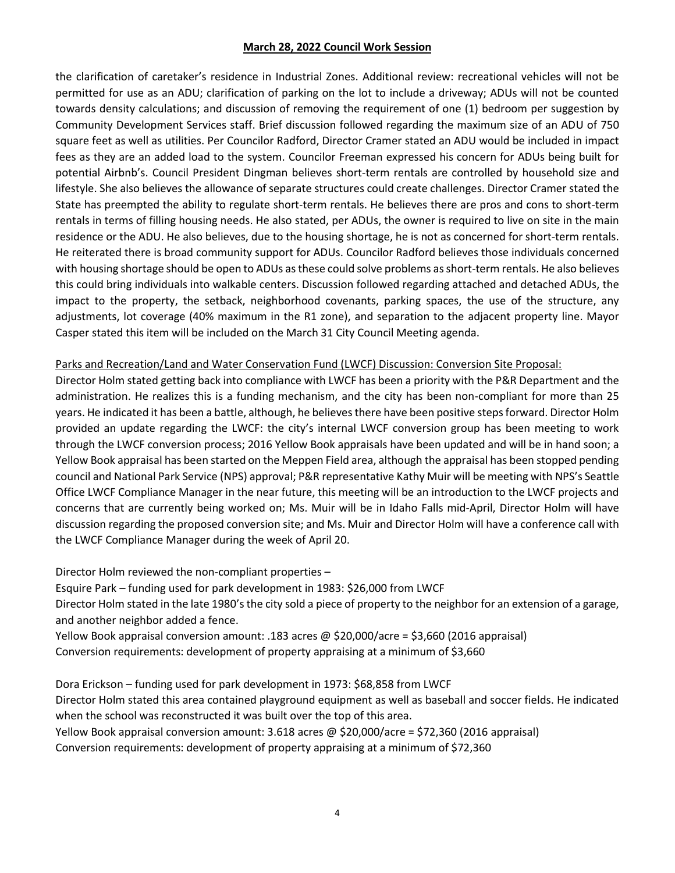the clarification of caretaker's residence in Industrial Zones. Additional review: recreational vehicles will not be permitted for use as an ADU; clarification of parking on the lot to include a driveway; ADUs will not be counted towards density calculations; and discussion of removing the requirement of one (1) bedroom per suggestion by Community Development Services staff. Brief discussion followed regarding the maximum size of an ADU of 750 square feet as well as utilities. Per Councilor Radford, Director Cramer stated an ADU would be included in impact fees as they are an added load to the system. Councilor Freeman expressed his concern for ADUs being built for potential Airbnb's. Council President Dingman believes short-term rentals are controlled by household size and lifestyle. She also believes the allowance of separate structures could create challenges. Director Cramer stated the State has preempted the ability to regulate short-term rentals. He believes there are pros and cons to short-term rentals in terms of filling housing needs. He also stated, per ADUs, the owner is required to live on site in the main residence or the ADU. He also believes, due to the housing shortage, he is not as concerned for short-term rentals. He reiterated there is broad community support for ADUs. Councilor Radford believes those individuals concerned with housing shortage should be open to ADUs as these could solve problems as short-term rentals. He also believes this could bring individuals into walkable centers. Discussion followed regarding attached and detached ADUs, the impact to the property, the setback, neighborhood covenants, parking spaces, the use of the structure, any adjustments, lot coverage (40% maximum in the R1 zone), and separation to the adjacent property line. Mayor Casper stated this item will be included on the March 31 City Council Meeting agenda.

### Parks and Recreation/Land and Water Conservation Fund (LWCF) Discussion: Conversion Site Proposal:

Director Holm stated getting back into compliance with LWCF has been a priority with the P&R Department and the administration. He realizes this is a funding mechanism, and the city has been non-compliant for more than 25 years. He indicated it has been a battle, although, he believes there have been positive steps forward. Director Holm provided an update regarding the LWCF: the city's internal LWCF conversion group has been meeting to work through the LWCF conversion process; 2016 Yellow Book appraisals have been updated and will be in hand soon; a Yellow Book appraisal has been started on the Meppen Field area, although the appraisal has been stopped pending council and National Park Service (NPS) approval; P&R representative Kathy Muir will be meeting with NPS's Seattle Office LWCF Compliance Manager in the near future, this meeting will be an introduction to the LWCF projects and concerns that are currently being worked on; Ms. Muir will be in Idaho Falls mid-April, Director Holm will have discussion regarding the proposed conversion site; and Ms. Muir and Director Holm will have a conference call with the LWCF Compliance Manager during the week of April 20.

Director Holm reviewed the non-compliant properties –

Esquire Park – funding used for park development in 1983: \$26,000 from LWCF

Director Holm stated in the late 1980's the city sold a piece of property to the neighbor for an extension of a garage, and another neighbor added a fence.

Yellow Book appraisal conversion amount: .183 acres @ \$20,000/acre = \$3,660 (2016 appraisal) Conversion requirements: development of property appraising at a minimum of \$3,660

Dora Erickson – funding used for park development in 1973: \$68,858 from LWCF Director Holm stated this area contained playground equipment as well as baseball and soccer fields. He indicated when the school was reconstructed it was built over the top of this area. Yellow Book appraisal conversion amount: 3.618 acres @ \$20,000/acre = \$72,360 (2016 appraisal) Conversion requirements: development of property appraising at a minimum of \$72,360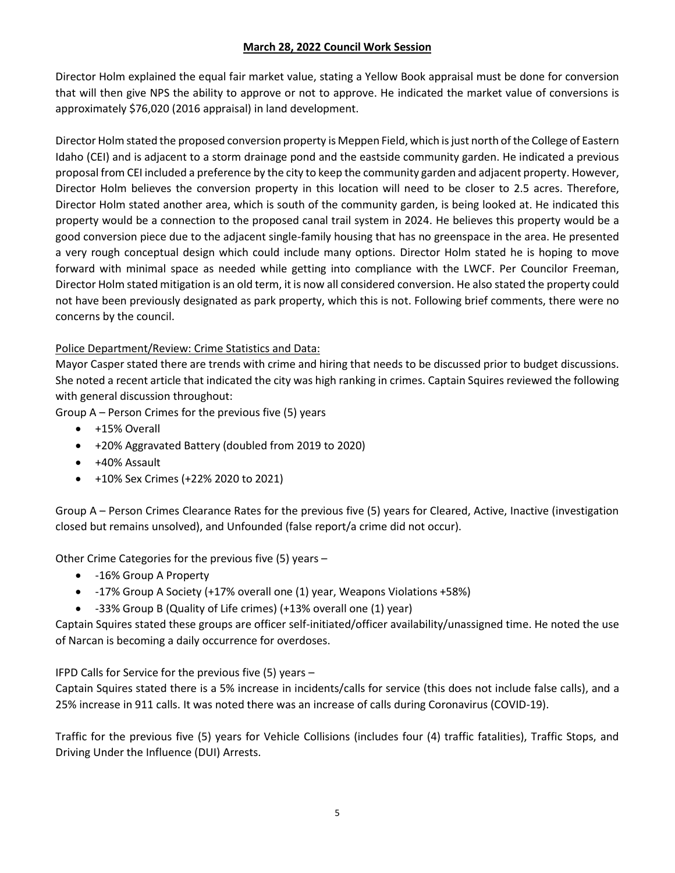Director Holm explained the equal fair market value, stating a Yellow Book appraisal must be done for conversion that will then give NPS the ability to approve or not to approve. He indicated the market value of conversions is approximately \$76,020 (2016 appraisal) in land development.

Director Holm stated the proposed conversion property is Meppen Field, which is just north of the College of Eastern Idaho (CEI) and is adjacent to a storm drainage pond and the eastside community garden. He indicated a previous proposal from CEI included a preference by the city to keep the community garden and adjacent property. However, Director Holm believes the conversion property in this location will need to be closer to 2.5 acres. Therefore, Director Holm stated another area, which is south of the community garden, is being looked at. He indicated this property would be a connection to the proposed canal trail system in 2024. He believes this property would be a good conversion piece due to the adjacent single-family housing that has no greenspace in the area. He presented a very rough conceptual design which could include many options. Director Holm stated he is hoping to move forward with minimal space as needed while getting into compliance with the LWCF. Per Councilor Freeman, Director Holm stated mitigation is an old term, it is now all considered conversion. He also stated the property could not have been previously designated as park property, which this is not. Following brief comments, there were no concerns by the council.

# Police Department/Review: Crime Statistics and Data:

Mayor Casper stated there are trends with crime and hiring that needs to be discussed prior to budget discussions. She noted a recent article that indicated the city was high ranking in crimes. Captain Squires reviewed the following with general discussion throughout:

Group A – Person Crimes for the previous five (5) years

- +15% Overall
- +20% Aggravated Battery (doubled from 2019 to 2020)
- +40% Assault
- +10% Sex Crimes (+22% 2020 to 2021)

Group A – Person Crimes Clearance Rates for the previous five (5) years for Cleared, Active, Inactive (investigation closed but remains unsolved), and Unfounded (false report/a crime did not occur).

Other Crime Categories for the previous five (5) years –

- -16% Group A Property
- -17% Group A Society (+17% overall one (1) year, Weapons Violations +58%)
- -33% Group B (Quality of Life crimes) (+13% overall one (1) year)

Captain Squires stated these groups are officer self-initiated/officer availability/unassigned time. He noted the use of Narcan is becoming a daily occurrence for overdoses.

IFPD Calls for Service for the previous five (5) years –

Captain Squires stated there is a 5% increase in incidents/calls for service (this does not include false calls), and a 25% increase in 911 calls. It was noted there was an increase of calls during Coronavirus (COVID-19).

Traffic for the previous five (5) years for Vehicle Collisions (includes four (4) traffic fatalities), Traffic Stops, and Driving Under the Influence (DUI) Arrests.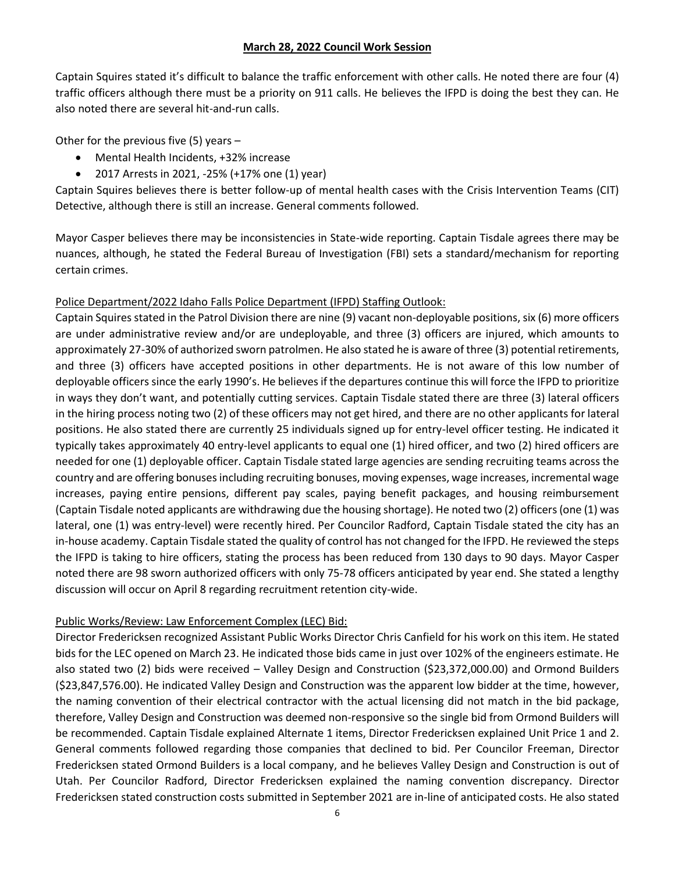Captain Squires stated it's difficult to balance the traffic enforcement with other calls. He noted there are four (4) traffic officers although there must be a priority on 911 calls. He believes the IFPD is doing the best they can. He also noted there are several hit-and-run calls.

Other for the previous five (5) years –

- Mental Health Incidents, +32% increase
- 2017 Arrests in 2021, -25% (+17% one (1) year)

Captain Squires believes there is better follow-up of mental health cases with the Crisis Intervention Teams (CIT) Detective, although there is still an increase. General comments followed.

Mayor Casper believes there may be inconsistencies in State-wide reporting. Captain Tisdale agrees there may be nuances, although, he stated the Federal Bureau of Investigation (FBI) sets a standard/mechanism for reporting certain crimes.

# Police Department/2022 Idaho Falls Police Department (IFPD) Staffing Outlook:

Captain Squires stated in the Patrol Division there are nine (9) vacant non-deployable positions, six (6) more officers are under administrative review and/or are undeployable, and three (3) officers are injured, which amounts to approximately 27-30% of authorized sworn patrolmen. He also stated he is aware of three (3) potential retirements, and three (3) officers have accepted positions in other departments. He is not aware of this low number of deployable officers since the early 1990's. He believes if the departures continue this will force the IFPD to prioritize in ways they don't want, and potentially cutting services. Captain Tisdale stated there are three (3) lateral officers in the hiring process noting two (2) of these officers may not get hired, and there are no other applicants for lateral positions. He also stated there are currently 25 individuals signed up for entry-level officer testing. He indicated it typically takes approximately 40 entry-level applicants to equal one (1) hired officer, and two (2) hired officers are needed for one (1) deployable officer. Captain Tisdale stated large agencies are sending recruiting teams across the country and are offering bonusesincluding recruiting bonuses, moving expenses, wage increases, incremental wage increases, paying entire pensions, different pay scales, paying benefit packages, and housing reimbursement (Captain Tisdale noted applicants are withdrawing due the housing shortage). He noted two (2) officers (one (1) was lateral, one (1) was entry-level) were recently hired. Per Councilor Radford, Captain Tisdale stated the city has an in-house academy. Captain Tisdale stated the quality of control has not changed for the IFPD. He reviewed the steps the IFPD is taking to hire officers, stating the process has been reduced from 130 days to 90 days. Mayor Casper noted there are 98 sworn authorized officers with only 75-78 officers anticipated by year end. She stated a lengthy discussion will occur on April 8 regarding recruitment retention city-wide.

# Public Works/Review: Law Enforcement Complex (LEC) Bid:

Director Fredericksen recognized Assistant Public Works Director Chris Canfield for his work on this item. He stated bids for the LEC opened on March 23. He indicated those bids came in just over 102% of the engineers estimate. He also stated two (2) bids were received – Valley Design and Construction (\$23,372,000.00) and Ormond Builders (\$23,847,576.00). He indicated Valley Design and Construction was the apparent low bidder at the time, however, the naming convention of their electrical contractor with the actual licensing did not match in the bid package, therefore, Valley Design and Construction was deemed non-responsive so the single bid from Ormond Builders will be recommended. Captain Tisdale explained Alternate 1 items, Director Fredericksen explained Unit Price 1 and 2. General comments followed regarding those companies that declined to bid. Per Councilor Freeman, Director Fredericksen stated Ormond Builders is a local company, and he believes Valley Design and Construction is out of Utah. Per Councilor Radford, Director Fredericksen explained the naming convention discrepancy. Director Fredericksen stated construction costs submitted in September 2021 are in-line of anticipated costs. He also stated